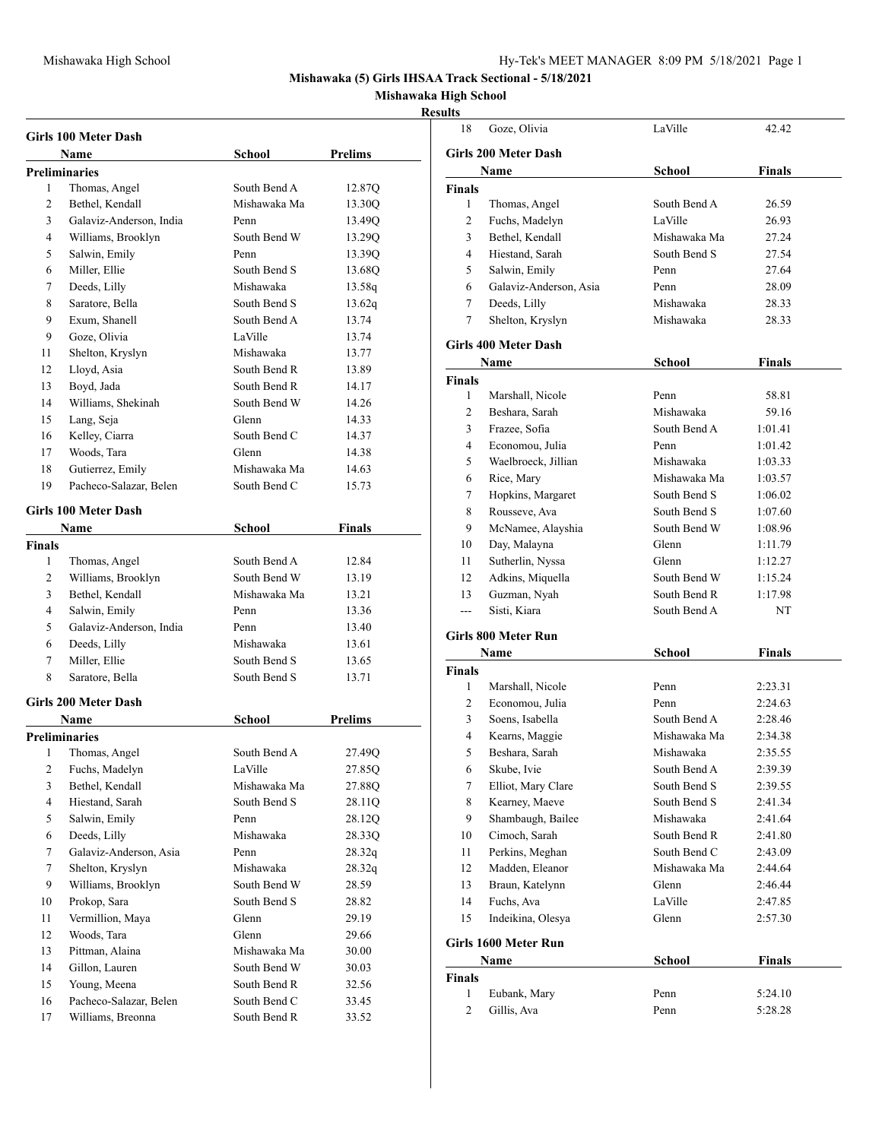**Mishawaka (5) Girls IHSAA Track Sectional - 5/18/2021**

**Mishawaka High School**

## **Results**

|                | Girls 100 Meter Dash    |              |                |
|----------------|-------------------------|--------------|----------------|
|                | Name                    | School       | Prelims        |
|                | <b>Preliminaries</b>    |              |                |
| 1              | Thomas, Angel           | South Bend A | 12.87Q         |
| 2              | Bethel, Kendall         | Mishawaka Ma | 13.30Q         |
| 3              | Galaviz-Anderson, India | Penn         | 13.49Q         |
| 4              | Williams, Brooklyn      | South Bend W | 13.29Q         |
| 5              | Salwin, Emily           | Penn         | 13.39Q         |
| 6              | Miller, Ellie           | South Bend S | 13.68Q         |
| 7              | Deeds, Lilly            | Mishawaka    | 13.58q         |
| 8              | Saratore, Bella         | South Bend S | 13.62q         |
| 9              | Exum, Shanell           | South Bend A | 13.74          |
| 9              | Goze, Olivia            | LaVille      | 13.74          |
| 11             | Shelton, Kryslyn        | Mishawaka    | 13.77          |
| 12             | Lloyd, Asia             | South Bend R | 13.89          |
| 13             | Boyd, Jada              | South Bend R | 14.17          |
| 14             | Williams, Shekinah      | South Bend W | 14.26          |
| 15             | Lang, Seja              | Glenn        | 14.33          |
| 16             | Kelley, Ciarra          | South Bend C | 14.37          |
| 17             | Woods, Tara             | Glenn        | 14.38          |
| 18             | Gutierrez, Emily        | Mishawaka Ma | 14.63          |
| 19             | Pacheco-Salazar, Belen  | South Bend C | 15.73          |
|                |                         |              |                |
|                | Girls 100 Meter Dash    |              |                |
|                | Name                    | School       | Finals         |
| <b>Finals</b>  |                         |              |                |
| 1              | Thomas, Angel           | South Bend A | 12.84          |
| $\overline{c}$ | Williams, Brooklyn      | South Bend W | 13.19          |
| 3              | Bethel, Kendall         | Mishawaka Ma | 13.21          |
| 4              | Salwin, Emily           | Penn         | 13.36          |
| 5              | Galaviz-Anderson, India | Penn         | 13.40          |
| 6              | Deeds, Lilly            | Mishawaka    | 13.61          |
| 7              | Miller, Ellie           | South Bend S | 13.65          |
| 8              | Saratore, Bella         | South Bend S | 13.71          |
|                | Girls 200 Meter Dash    |              |                |
|                | <b>Name</b>             | School       | <b>Prelims</b> |
|                | <b>Preliminaries</b>    |              |                |
| 1              | Thomas, Angel           | South Bend A | 27.49Q         |
| 2              | Fuchs, Madelyn          | LaVille      | 27.85Q         |
| 3              | Bethel, Kendall         | Mishawaka Ma | 27.88Q         |
| $\overline{4}$ | Hiestand, Sarah         | South Bend S | 28.11Q         |
| 5              | Salwin, Emily           | Penn         | 28.12Q         |
| 6              | Deeds, Lilly            | Mishawaka    | 28.33Q         |
| $\tau$         | Galaviz-Anderson, Asia  | Penn         | 28.32q         |
| $\tau$         | Shelton, Kryslyn        | Mishawaka    | 28.32q         |
| 9              | Williams, Brooklyn      | South Bend W | 28.59          |
| 10             | Prokop, Sara            | South Bend S | 28.82          |
| 11             | Vermillion, Maya        | Glenn        | 29.19          |
| 12             | Woods, Tara             | Glenn        | 29.66          |
| 13             | Pittman, Alaina         | Mishawaka Ma | 30.00          |
| 14             | Gillon, Lauren          | South Bend W | 30.03          |
| 15             | Young, Meena            | South Bend R | 32.56          |
| 16             | Pacheco-Salazar, Belen  | South Bend C | 33.45          |
| 17             | Williams, Breonna       | South Bend R | 33.52          |

| sunts         |                                     |                              |                    |
|---------------|-------------------------------------|------------------------------|--------------------|
| 18            | Goze, Olivia                        | LaVille                      | 42.42              |
|               | <b>Girls 200 Meter Dash</b>         |                              |                    |
|               | Name                                | <b>School</b>                | <b>Finals</b>      |
| <b>Finals</b> |                                     |                              |                    |
| 1             | Thomas, Angel                       | South Bend A                 | 26.59              |
| 2             | Fuchs, Madelyn                      | LaVille                      | 26.93              |
| 3             | Bethel, Kendall                     | Mishawaka Ma                 | 27.24              |
| 4             | Hiestand, Sarah                     | South Bend S                 | 27.54              |
| 5             | Salwin, Emily                       | Penn                         | 27.64              |
| 6             | Galaviz-Anderson, Asia              | Penn                         | 28.09              |
| 7             | Deeds, Lilly                        | Mishawaka                    | 28.33              |
| 7             | Shelton, Kryslyn                    | Mishawaka                    | 28.33              |
|               | Girls 400 Meter Dash                |                              |                    |
|               | Name                                | School                       | Finals             |
| <b>Finals</b> |                                     |                              |                    |
| 1             | Marshall, Nicole                    | Penn                         | 58.81              |
| 2             | Beshara, Sarah                      | Mishawaka                    | 59.16              |
| 3             | Frazee, Sofia                       | South Bend A                 | 1:01.41            |
| 4             | Economou, Julia                     | Penn                         | 1:01.42            |
| 5             | Waelbroeck, Jillian                 | Mishawaka                    | 1:03.33            |
| 6             | Rice, Mary                          | Mishawaka Ma                 | 1:03.57            |
| 7             | Hopkins, Margaret                   | South Bend S                 | 1:06.02            |
| 8             | Rousseve, Ava                       | South Bend S                 | 1:07.60            |
| 9             | McNamee, Alayshia                   | South Bend W                 | 1:08.96            |
| 10            | Day, Malayna                        | Glenn                        | 1:11.79            |
| 11            | Sutherlin, Nyssa                    | Glenn                        | 1:12.27            |
| 12            | Adkins, Miquella                    | South Bend W                 | 1:15.24            |
| 13            | Guzman, Nyah                        | South Bend R                 | 1:17.98            |
| ---           | Sisti, Kiara                        | South Bend A                 | NT                 |
|               | <b>Girls 800 Meter Run</b>          |                              |                    |
|               | Name                                | School                       | Finals             |
| <b>Finals</b> |                                     |                              |                    |
| 1             | Marshall, Nicole                    | Penn                         | 2:23.31            |
| 2             | Economou, Julia                     | Penn                         | 2:24.63            |
| 3             | Soens, Isabella                     | South Bend A                 | 2:28.46            |
| 4             | Kearns, Maggie                      | Mishawaka Ma                 | 2:34.38            |
| 5             | Beshara, Sarah                      | Mishawaka                    | 2:35.55            |
| 6<br>7        | Skube, Ivie<br>Elliot, Mary Clare   | South Bend A<br>South Bend S | 2:39.39<br>2:39.55 |
| 8             | Kearney, Maeve                      | South Bend S                 |                    |
| 9             | Shambaugh, Bailee                   | Mishawaka                    | 2:41.34<br>2:41.64 |
| 10            | Cimoch, Sarah                       | South Bend R                 | 2:41.80            |
| 11            | Perkins, Meghan                     | South Bend C                 | 2:43.09            |
| 12            | Madden, Eleanor                     | Mishawaka Ma                 | 2:44.64            |
| 13            | Braun, Katelynn                     | Glenn                        | 2:46.44            |
| 14            | Fuchs, Ava                          | LaVille                      | 2:47.85            |
| 15            | Indeikina, Olesya                   | Glenn                        | 2:57.30            |
|               |                                     |                              |                    |
|               | <b>Girls 1600 Meter Run</b><br>Name | School                       | Finals             |
| <b>Finals</b> |                                     |                              |                    |
| $\mathbf{1}$  | Eubank, Mary                        | Penn                         | 5:24.10            |
| 2             | Gillis, Ava                         | Penn                         | 5:28.28            |
|               |                                     |                              |                    |
|               |                                     |                              |                    |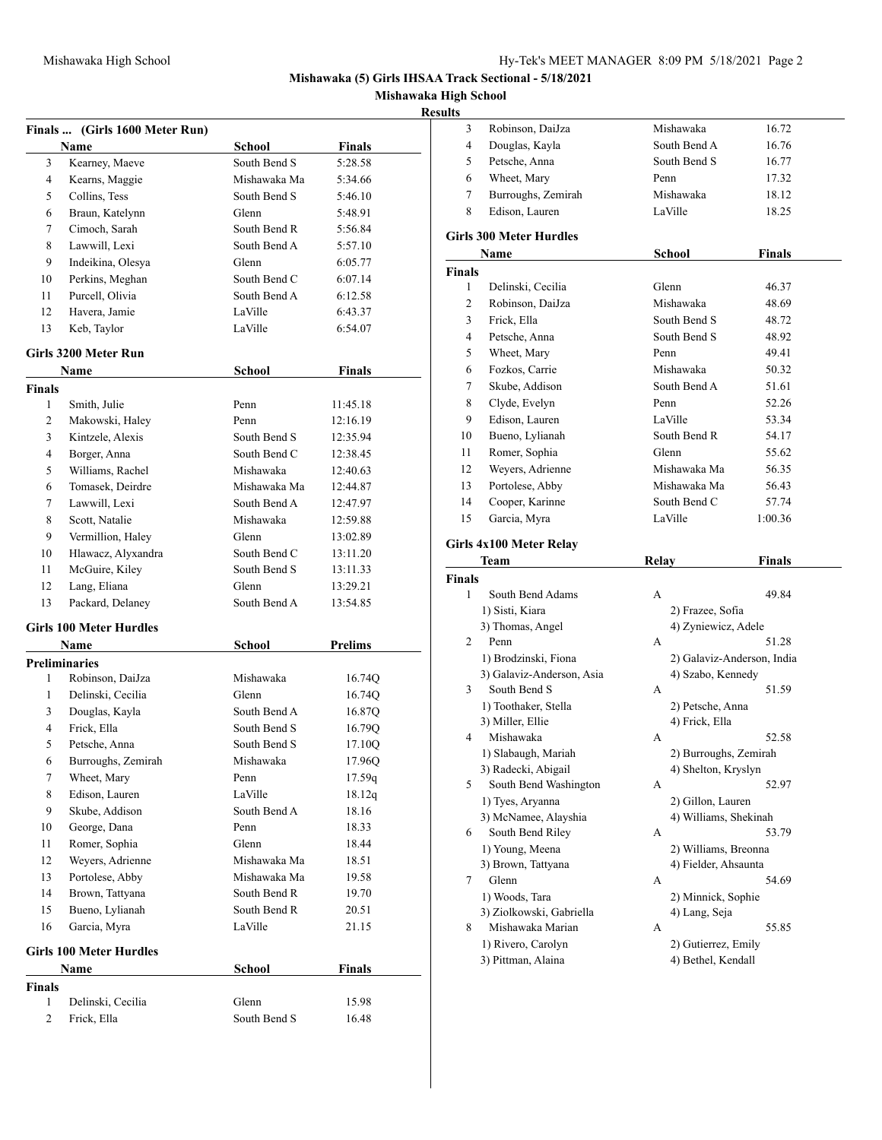**Mishawaka (5) Girls IHSAA Track Sectional - 5/18/2021**

**Mishawaka High School**

## **Resul**

|                | Finals  (Girls 1600 Meter Run) |               |               |
|----------------|--------------------------------|---------------|---------------|
|                | Name                           | School        | <b>Finals</b> |
| 3              | Kearney, Maeve                 | South Bend S  | 5:28.58       |
| $\overline{4}$ | Kearns, Maggie                 | Mishawaka Ma  | 5:34.66       |
| 5              | Collins, Tess                  | South Bend S  | 5:46.10       |
| 6              | Braun, Katelynn                | Glenn         | 5:48.91       |
| 7              | Cimoch, Sarah                  | South Bend R  | 5:56.84       |
| 8              | Lawwill, Lexi                  | South Bend A  | 5:57.10       |
| 9              | Indeikina, Olesya              | Glenn         | 6:05.77       |
| 10             | Perkins, Meghan                | South Bend C  | 6:07.14       |
| 11             | Purcell, Olivia                | South Bend A  | 6:12.58       |
| 12             | Havera, Jamie                  | LaVille       | 6:43.37       |
| 13             | Keb, Taylor                    | LaVille       | 6:54.07       |
|                | Girls 3200 Meter Run           |               |               |
|                | Name                           | School        | <b>Finals</b> |
| Finals         |                                |               |               |
| 1              | Smith, Julie                   | Penn          | 11:45.18      |
| 2              | Makowski, Haley                | Penn          | 12:16.19      |
| 3              | Kintzele, Alexis               | South Bend S  | 12:35.94      |
| $\overline{4}$ | Borger, Anna                   | South Bend C  | 12:38.45      |
| 5              | Williams, Rachel               | Mishawaka     | 12:40.63      |
| 6              | Tomasek, Deirdre               | Mishawaka Ma  | 12:44.87      |
| 7              | Lawwill, Lexi                  | South Bend A  | 12:47.97      |
| 8              | Scott, Natalie                 | Mishawaka     | 12:59.88      |
| 9              | Vermillion, Haley              | Glenn         | 13:02.89      |
| 10             | Hlawacz, Alyxandra             | South Bend C  | 13:11.20      |
| 11             | McGuire, Kiley                 | South Bend S  | 13:11.33      |
| 12             | Lang, Eliana                   | Glenn         | 13:29.21      |
| 13             | Packard, Delaney               | South Bend A  | 13:54.85      |
|                | <b>Girls 100 Meter Hurdles</b> |               |               |
|                | Name                           | <b>School</b> | Prelims       |
|                | <b>Preliminaries</b>           |               |               |
| 1              | Robinson, DaiJza               | Mishawaka     | 16.74Q        |
| 1              | Delinski, Cecilia              | Glenn         | 16.74Q        |
| 3              | Douglas, Kayla                 | South Bend A  | 16.87Q        |
| 4              | Frick, Ella                    | South Bend S  | 16.79Q        |
| 5              | Petsche, Anna                  | South Bend S  | 17.10Q        |
| 6              | Burroughs, Zemirah             | Mishawaka     | 17.96Q        |
| 7              | Wheet, Mary                    | Penn          | 17.59q        |
| 8              | Edison, Lauren                 | LaVille       | 18.12q        |
| 9              | Skube, Addison                 | South Bend A  | 18.16         |
| 10             | George, Dana                   | Penn          | 18.33         |
| 11             | Romer, Sophia                  | Glenn         | 18.44         |
| 12             | Weyers, Adrienne               | Mishawaka Ma  | 18.51         |
| 13             | Portolese, Abby                | Mishawaka Ma  | 19.58         |
| 14             | Brown, Tattyana                | South Bend R  | 19.70         |
| 15             | Bueno, Lylianah                | South Bend R  | 20.51         |
| 16             | Garcia, Myra                   | LaVille       | 21.15         |
|                | <b>Girls 100 Meter Hurdles</b> |               |               |
|                | Name                           | School        | Finals        |
| Finals         |                                |               |               |
| 1              | Delinski, Cecilia              | Glenn         | 15.98         |
| 2              | Frick, Ella                    | South Bend S  | 16.48         |

| Robinson, DaiJza                         | Mishawaka                                                                                                                                                                                                                                                                                                                                                                                                                                    | 16.72                                                                                                                                                                    |
|------------------------------------------|----------------------------------------------------------------------------------------------------------------------------------------------------------------------------------------------------------------------------------------------------------------------------------------------------------------------------------------------------------------------------------------------------------------------------------------------|--------------------------------------------------------------------------------------------------------------------------------------------------------------------------|
| Douglas, Kayla                           | South Bend A                                                                                                                                                                                                                                                                                                                                                                                                                                 | 16.76                                                                                                                                                                    |
|                                          | South Bend S                                                                                                                                                                                                                                                                                                                                                                                                                                 | 16.77                                                                                                                                                                    |
|                                          |                                                                                                                                                                                                                                                                                                                                                                                                                                              | 17.32                                                                                                                                                                    |
|                                          | Mishawaka                                                                                                                                                                                                                                                                                                                                                                                                                                    | 18.12                                                                                                                                                                    |
|                                          | LaVille                                                                                                                                                                                                                                                                                                                                                                                                                                      | 18.25                                                                                                                                                                    |
|                                          |                                                                                                                                                                                                                                                                                                                                                                                                                                              |                                                                                                                                                                          |
| Name                                     |                                                                                                                                                                                                                                                                                                                                                                                                                                              | <b>Finals</b>                                                                                                                                                            |
|                                          |                                                                                                                                                                                                                                                                                                                                                                                                                                              |                                                                                                                                                                          |
|                                          | Glenn                                                                                                                                                                                                                                                                                                                                                                                                                                        | 46.37                                                                                                                                                                    |
|                                          | Mishawaka                                                                                                                                                                                                                                                                                                                                                                                                                                    | 48.69                                                                                                                                                                    |
|                                          | South Bend S                                                                                                                                                                                                                                                                                                                                                                                                                                 | 48.72                                                                                                                                                                    |
|                                          | South Bend S                                                                                                                                                                                                                                                                                                                                                                                                                                 | 48.92                                                                                                                                                                    |
|                                          |                                                                                                                                                                                                                                                                                                                                                                                                                                              | 49.41                                                                                                                                                                    |
|                                          |                                                                                                                                                                                                                                                                                                                                                                                                                                              | 50.32                                                                                                                                                                    |
|                                          | South Bend A                                                                                                                                                                                                                                                                                                                                                                                                                                 | 51.61                                                                                                                                                                    |
|                                          |                                                                                                                                                                                                                                                                                                                                                                                                                                              | 52.26                                                                                                                                                                    |
|                                          |                                                                                                                                                                                                                                                                                                                                                                                                                                              | 53.34                                                                                                                                                                    |
|                                          |                                                                                                                                                                                                                                                                                                                                                                                                                                              | 54.17                                                                                                                                                                    |
|                                          |                                                                                                                                                                                                                                                                                                                                                                                                                                              | 55.62                                                                                                                                                                    |
|                                          |                                                                                                                                                                                                                                                                                                                                                                                                                                              | 56.35                                                                                                                                                                    |
|                                          |                                                                                                                                                                                                                                                                                                                                                                                                                                              | 56.43                                                                                                                                                                    |
|                                          |                                                                                                                                                                                                                                                                                                                                                                                                                                              | 57.74                                                                                                                                                                    |
|                                          |                                                                                                                                                                                                                                                                                                                                                                                                                                              | 1:00.36                                                                                                                                                                  |
|                                          |                                                                                                                                                                                                                                                                                                                                                                                                                                              |                                                                                                                                                                          |
| Girls 4x100 Meter Relay                  |                                                                                                                                                                                                                                                                                                                                                                                                                                              |                                                                                                                                                                          |
| Team                                     | Relay                                                                                                                                                                                                                                                                                                                                                                                                                                        | Finals                                                                                                                                                                   |
| <b>Finals</b>                            |                                                                                                                                                                                                                                                                                                                                                                                                                                              |                                                                                                                                                                          |
| South Bend Adams                         | A                                                                                                                                                                                                                                                                                                                                                                                                                                            | 49.84                                                                                                                                                                    |
| 1) Sisti, Kiara                          | 2) Frazee, Sofia                                                                                                                                                                                                                                                                                                                                                                                                                             |                                                                                                                                                                          |
| 3) Thomas, Angel                         | 4) Zyniewicz, Adele                                                                                                                                                                                                                                                                                                                                                                                                                          |                                                                                                                                                                          |
| Penn                                     | A                                                                                                                                                                                                                                                                                                                                                                                                                                            | 51.28                                                                                                                                                                    |
|                                          |                                                                                                                                                                                                                                                                                                                                                                                                                                              |                                                                                                                                                                          |
| 3) Galaviz-Anderson, Asia                | 4) Szabo, Kennedy                                                                                                                                                                                                                                                                                                                                                                                                                            |                                                                                                                                                                          |
|                                          | A                                                                                                                                                                                                                                                                                                                                                                                                                                            | 51.59                                                                                                                                                                    |
|                                          |                                                                                                                                                                                                                                                                                                                                                                                                                                              |                                                                                                                                                                          |
| 1) Toothaker, Stella                     | 2) Petsche, Anna                                                                                                                                                                                                                                                                                                                                                                                                                             |                                                                                                                                                                          |
| 3) Miller, Ellie                         | 4) Frick, Ella                                                                                                                                                                                                                                                                                                                                                                                                                               |                                                                                                                                                                          |
| Mishawaka                                | A                                                                                                                                                                                                                                                                                                                                                                                                                                            | 52.58                                                                                                                                                                    |
| 1) Slabaugh, Mariah                      | 2) Burroughs, Zemirah                                                                                                                                                                                                                                                                                                                                                                                                                        |                                                                                                                                                                          |
| 3) Radecki, Abigail                      | 4) Shelton, Kryslyn                                                                                                                                                                                                                                                                                                                                                                                                                          |                                                                                                                                                                          |
| South Bend Washington                    | A                                                                                                                                                                                                                                                                                                                                                                                                                                            | 52.97                                                                                                                                                                    |
| 1) Tyes, Aryanna                         | 2) Gillon, Lauren                                                                                                                                                                                                                                                                                                                                                                                                                            |                                                                                                                                                                          |
| 3) McNamee, Alayshia                     | 4) Williams, Shekinah                                                                                                                                                                                                                                                                                                                                                                                                                        |                                                                                                                                                                          |
| South Bend Riley                         | A                                                                                                                                                                                                                                                                                                                                                                                                                                            | 53.79                                                                                                                                                                    |
| 1) Young, Meena                          | 2) Williams, Breonna                                                                                                                                                                                                                                                                                                                                                                                                                         |                                                                                                                                                                          |
| 3) Brown, Tattyana                       | 4) Fielder, Ahsaunta                                                                                                                                                                                                                                                                                                                                                                                                                         |                                                                                                                                                                          |
| Glenn                                    | A                                                                                                                                                                                                                                                                                                                                                                                                                                            | 54.69                                                                                                                                                                    |
| 1) Woods, Tara                           | 2) Minnick, Sophie                                                                                                                                                                                                                                                                                                                                                                                                                           |                                                                                                                                                                          |
| 3) Ziolkowski, Gabriella                 | 4) Lang, Seja                                                                                                                                                                                                                                                                                                                                                                                                                                |                                                                                                                                                                          |
| Mishawaka Marian                         | A                                                                                                                                                                                                                                                                                                                                                                                                                                            | 55.85                                                                                                                                                                    |
| 1) Rivero, Carolyn<br>3) Pittman, Alaina | 2) Gutierrez, Emily<br>4) Bethel, Kendall                                                                                                                                                                                                                                                                                                                                                                                                    |                                                                                                                                                                          |
|                                          | Petsche, Anna<br>Wheet, Mary<br>Burroughs, Zemirah<br>Edison, Lauren<br><b>Girls 300 Meter Hurdles</b><br><b>Finals</b><br>Delinski, Cecilia<br>Robinson, DaiJza<br>Frick, Ella<br>Petsche, Anna<br>Wheet, Mary<br>Fozkos, Carrie<br>Skube, Addison<br>Clyde, Evelyn<br>Edison, Lauren<br>Bueno, Lylianah<br>Romer, Sophia<br>Weyers, Adrienne<br>Portolese, Abby<br>Cooper, Karinne<br>Garcia, Myra<br>1) Brodzinski, Fiona<br>South Bend S | Penn<br>School<br>Penn<br>Mishawaka<br>Penn<br>LaVille<br>South Bend R<br>Glenn<br>Mishawaka Ma<br>Mishawaka Ma<br>South Bend C<br>LaVille<br>2) Galaviz-Anderson, India |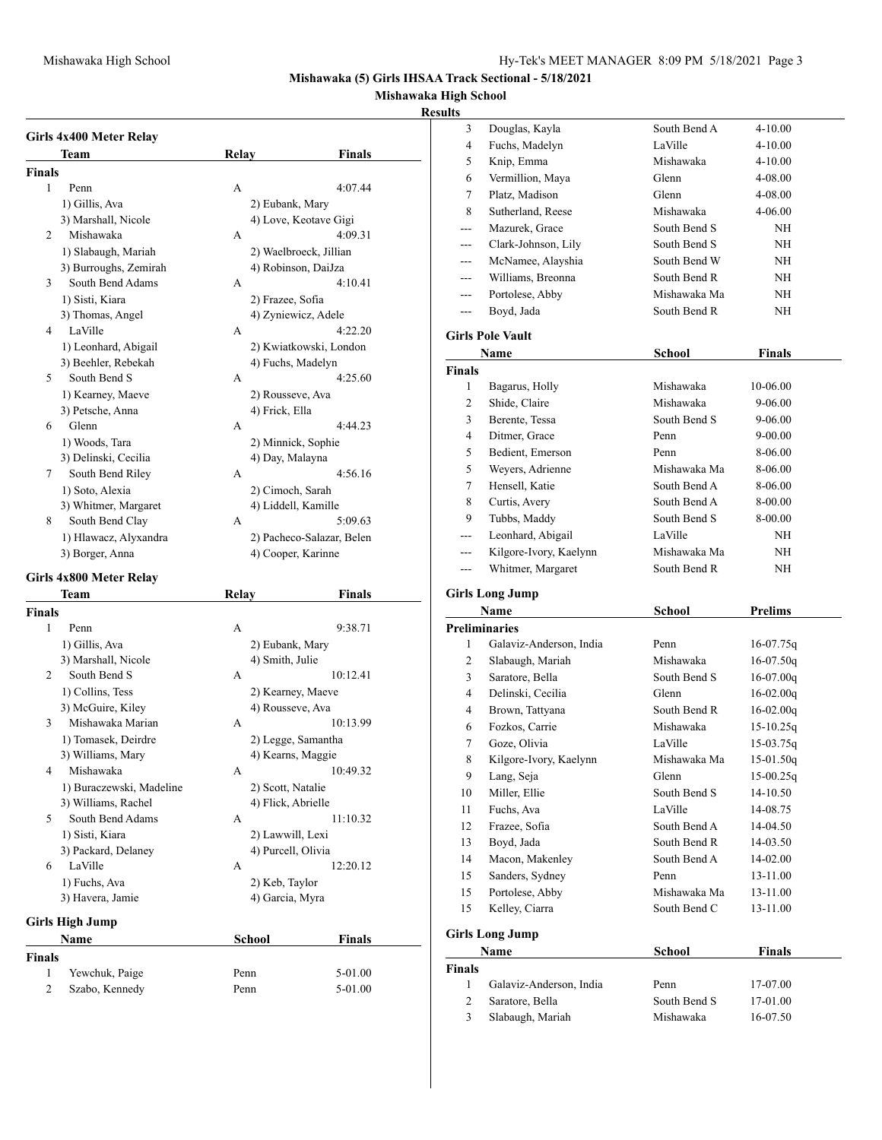**Girls High Jump**

**Finals**

3 Douglas, Kayla South Bend A 4-10.00 4 Fuchs, Madelyn LaVille 4-10.00

**Mishawaka (5) Girls IHSAA Track Sectional - 5/18/2021**

# **Mishawaka High School**

### **Results**

|                | Girls 4x400 Meter Relay  |                     |                           |
|----------------|--------------------------|---------------------|---------------------------|
|                | Team                     | <b>Relay</b>        | <b>Finals</b>             |
| <b>Finals</b>  |                          |                     |                           |
| 1              | Penn                     | A                   | 4:07.44                   |
|                | 1) Gillis, Ava           | 2) Eubank, Mary     |                           |
|                | 3) Marshall, Nicole      |                     | 4) Love, Keotave Gigi     |
| 2              | Mishawaka                | A                   | 4:09.31                   |
|                | 1) Slabaugh, Mariah      |                     | 2) Waelbroeck, Jillian    |
|                | 3) Burroughs, Zemirah    |                     | 4) Robinson, DaiJza       |
| 3              | South Bend Adams         | A                   | 4:10.41                   |
|                | 1) Sisti, Kiara          | 2) Frazee, Sofia    |                           |
|                | 3) Thomas, Angel         |                     | 4) Zyniewicz, Adele       |
| $\overline{4}$ | LaVille                  | A                   | 4:22.20                   |
|                | 1) Leonhard, Abigail     |                     | 2) Kwiatkowski, London    |
|                | 3) Beehler, Rebekah      | 4) Fuchs, Madelyn   |                           |
| 5              | South Bend S             | A                   | 4:25.60                   |
|                | 1) Kearney, Maeve        | 2) Rousseve, Ava    |                           |
|                | 3) Petsche, Anna         | 4) Frick, Ella      |                           |
| 6              | Glenn                    | A                   | 4:44.23                   |
|                | 1) Woods, Tara           |                     | 2) Minnick, Sophie        |
|                | 3) Delinski, Cecilia     | 4) Day, Malayna     |                           |
| 7              | South Bend Riley         | A                   | 4:56.16                   |
|                | 1) Soto, Alexia          | 2) Cimoch, Sarah    |                           |
|                | 3) Whitmer, Margaret     | 4) Liddell, Kamille |                           |
| 8              | South Bend Clay          | A                   | 5:09.63                   |
|                | 1) Hlawacz, Alyxandra    |                     | 2) Pacheco-Salazar, Belen |
|                | 3) Borger, Anna          |                     | 4) Cooper, Karinne        |
|                |                          |                     |                           |
|                | Girls 4x800 Meter Relay  |                     |                           |
|                | Team                     | Relay               | Finals                    |
| <b>Finals</b>  |                          |                     |                           |
| 1              | Penn                     | A                   | 9:38.71                   |
|                | 1) Gillis, Ava           | 2) Eubank, Mary     |                           |
|                | 3) Marshall, Nicole      | 4) Smith, Julie     |                           |
| 2              | South Bend S             | A                   | 10:12.41                  |
|                | 1) Collins, Tess         | 2) Kearney, Maeve   |                           |
|                | 3) McGuire, Kiley        | 4) Rousseve, Ava    |                           |
| 3              | Mishawaka Marian         | A                   | 10:13.99                  |
|                | 1) Tomasek, Deirdre      |                     | 2) Legge, Samantha        |
|                | 3) Williams, Mary        | 4) Kearns, Maggie   |                           |
| $\overline{4}$ | Mishawaka                | A                   | 10:49.32                  |
|                | 1) Buraczewski, Madeline | 2) Scott, Natalie   |                           |
|                | 3) Williams, Rachel      | 4) Flick, Abrielle  |                           |
| 5              | South Bend Adams         | A                   | 11:10.32                  |
|                | 1) Sisti, Kiara          | 2) Lawwill, Lexi    |                           |
|                | 3) Packard, Delaney      | 4) Purcell, Olivia  |                           |
|                |                          |                     |                           |

6 LaVille A 12:20.12 1) Fuchs, Ava 2) Keb, Taylor 3) Havera, Jamie 4) Garcia, Myra

**Name School Finals**

1 Yewchuk, Paige Penn 5-01.00 2 Szabo, Kennedy Penn 5-01.00

| 5              | Knip, Emma              | Mishawaka     | 4-10.00        |  |
|----------------|-------------------------|---------------|----------------|--|
| 6              | Vermillion, Maya        | Glenn         | 4-08.00        |  |
| 7              | Platz, Madison          | Glenn         | 4-08.00        |  |
| 8              | Sutherland, Reese       | Mishawaka     | 4-06.00        |  |
| ---            | Mazurek, Grace          | South Bend S  | NH             |  |
| ---            | Clark-Johnson, Lily     | South Bend S  | NΗ             |  |
| $---$          | McNamee, Alayshia       | South Bend W  | NΗ             |  |
| $---$          | Williams, Breonna       | South Bend R  | NH             |  |
| ---            | Portolese, Abby         | Mishawaka Ma  | NΗ             |  |
| ---            | Boyd, Jada              | South Bend R  | NΗ             |  |
|                |                         |               |                |  |
|                | <b>Girls Pole Vault</b> |               |                |  |
|                | Name                    | <b>School</b> | <b>Finals</b>  |  |
| <b>Finals</b>  |                         |               |                |  |
| 1              | Bagarus, Holly          | Mishawaka     | 10-06.00       |  |
| 2              | Shide, Claire           | Mishawaka     | 9-06.00        |  |
| 3              | Berente, Tessa          | South Bend S  | 9-06.00        |  |
| $\overline{4}$ | Ditmer, Grace           | Penn          | 9-00.00        |  |
| 5              | Bedient, Emerson        | Penn          | 8-06.00        |  |
| 5              | Weyers, Adrienne        | Mishawaka Ma  | 8-06.00        |  |
| 7              | Hensell, Katie          | South Bend A  | 8-06.00        |  |
| 8              | Curtis, Avery           | South Bend A  | 8-00.00        |  |
| 9              | Tubbs, Maddy            | South Bend S  | 8-00.00        |  |
| ---            | Leonhard, Abigail       | LaVille       | NH             |  |
| $---$          | Kilgore-Ivory, Kaelynn  | Mishawaka Ma  | NH             |  |
| ---            | Whitmer, Margaret       | South Bend R  | NH             |  |
|                | <b>Girls Long Jump</b>  |               |                |  |
|                |                         |               |                |  |
|                |                         |               |                |  |
|                | Name                    | School        | <b>Prelims</b> |  |
|                | <b>Preliminaries</b>    |               |                |  |
| 1              | Galaviz-Anderson, India | Penn          | $16-07.75q$    |  |
| 2              | Slabaugh, Mariah        | Mishawaka     | $16-07.50q$    |  |
| 3              | Saratore, Bella         | South Bend S  | $16-07.00q$    |  |
| $\overline{4}$ | Delinski, Cecilia       | Glenn         | $16-02.00q$    |  |
| 4              | Brown, Tattyana         | South Bend R  | $16-02.00q$    |  |
| 6              | Fozkos, Carrie          | Mishawaka     | $15-10.25q$    |  |
| 7              | Goze, Olivia            | LaVille       | $15-03.75q$    |  |
| 8              | Kilgore-Ivory, Kaelynn  | Mishawaka Ma  | $15-01.50q$    |  |
| 9              | Lang, Seja              | Glenn         | $15-00.25q$    |  |
| 10             | Miller, Ellie           | South Bend S  | 14-10.50       |  |
| 11             | Fuchs, Ava              | LaVille       | 14-08.75       |  |
| 12             | Frazee, Sofia           | South Bend A  | 14-04.50       |  |
| 13             | Boyd, Jada              | South Bend R  | 14-03.50       |  |
| 14             | Macon, Makenley         | South Bend A  | 14-02.00       |  |
| 15             | Sanders, Sydney         | Penn          | 13-11.00       |  |
| 15             | Portolese, Abby         | Mishawaka Ma  | 13-11.00       |  |
| 15             | Kelley, Ciarra          | South Bend C  | 13-11.00       |  |
|                | <b>Girls Long Jump</b>  |               |                |  |
|                | Name                    | <b>School</b> | Finals         |  |
| Finals         |                         |               |                |  |
| 1              | Galaviz-Anderson, India | Penn          | 17-07.00       |  |
| $\overline{c}$ | Saratore, Bella         | South Bend S  | 17-01.00       |  |
| 3              | Slabaugh, Mariah        | Mishawaka     | 16-07.50       |  |